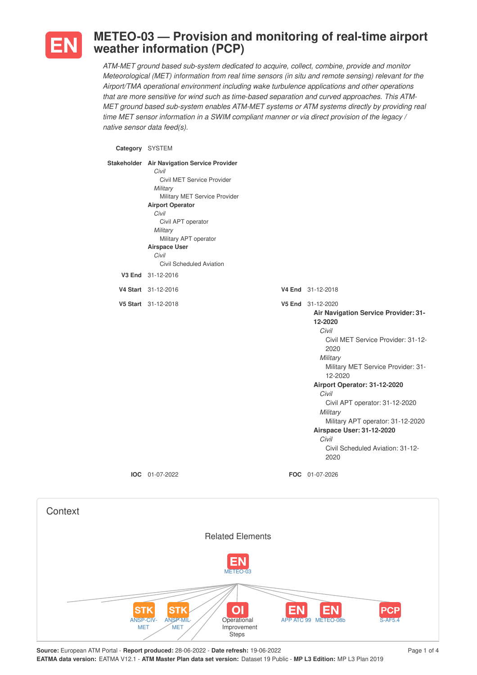

**Context** 

## **METEO-03 — Provision and monitoring of real-time airport weather information (PCP)**

*ATM-MET ground based sub-system dedicated to acquire, collect, combine, provide and monitor Meteorological (MET) information from real time sensors (in situ and remote sensing) relevant for the Airport/TMA operational environment including wake turbulence applications and other operations that are more sensitive for wind such as time-based separation and curved approaches. This ATM-MET ground based sub-system enables ATM-MET systems or ATM systems directly by providing real time MET sensor information in a SWIM compliant manner or via direct provision of the legacy / native sensor data feed(s).*

**Category** SYSTEM

| Stakeholder Air Navigation Service Provider<br>Civil<br>Civil MET Service Provider<br>Military<br>Military MET Service Provider<br><b>Airport Operator</b><br>Civil<br>Civil APT operator<br>Military<br>Military APT operator<br><b>Airspace User</b><br>Civil<br>Civil Scheduled Aviation |                                                                                                                                                                                                                                                                                                                                                                                                        |
|---------------------------------------------------------------------------------------------------------------------------------------------------------------------------------------------------------------------------------------------------------------------------------------------|--------------------------------------------------------------------------------------------------------------------------------------------------------------------------------------------------------------------------------------------------------------------------------------------------------------------------------------------------------------------------------------------------------|
| V3 End 31-12-2016                                                                                                                                                                                                                                                                           |                                                                                                                                                                                                                                                                                                                                                                                                        |
| V4 Start 31-12-2016                                                                                                                                                                                                                                                                         | V4 End 31-12-2018                                                                                                                                                                                                                                                                                                                                                                                      |
| V5 Start 31-12-2018                                                                                                                                                                                                                                                                         | V5 End 31-12-2020<br>Air Navigation Service Provider: 31-<br>12-2020<br>Civil<br>Civil MET Service Provider: 31-12-<br>2020<br>Military<br>Military MET Service Provider: 31-<br>12-2020<br>Airport Operator: 31-12-2020<br>Civil<br>Civil APT operator: 31-12-2020<br>Military<br>Military APT operator: 31-12-2020<br>Airspace User: 31-12-2020<br>Civil<br>Civil Scheduled Aviation: 31-12-<br>2020 |
| IOC 01-07-2022                                                                                                                                                                                                                                                                              | FOC 01-07-2026                                                                                                                                                                                                                                                                                                                                                                                         |
| <b>Related Elements</b><br>METEO-03                                                                                                                                                                                                                                                         |                                                                                                                                                                                                                                                                                                                                                                                                        |

**Operational** Improvement

 $\overline{O}$ 

 $\overline{P}$  ATC 99 METEO-0

**EN** 

**EN** 

ANSP-CIV-MET

**STK** 

ANSP-MIL-**MET** 

**STK** 

**PCF**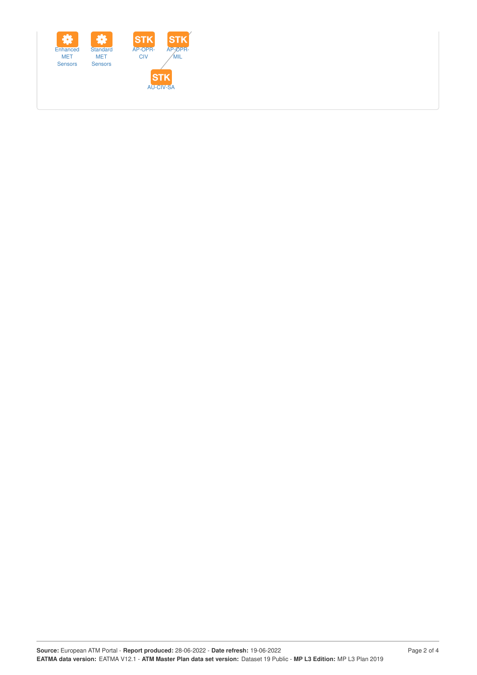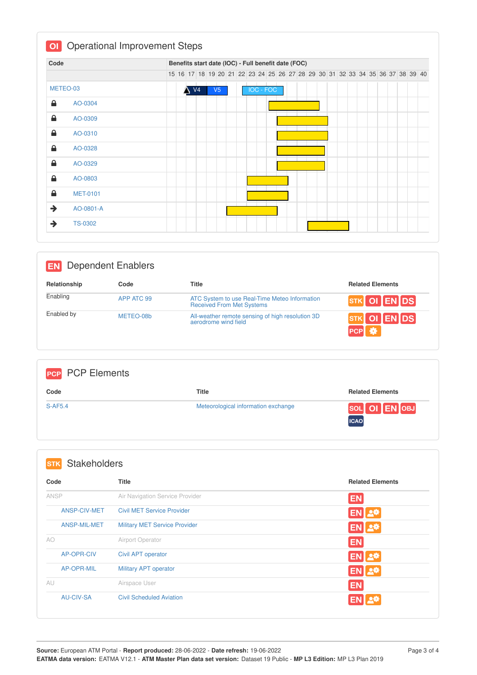| Code        |                 | Benefits start date (IOC) - Full benefit date (FOC) |  |  |                |  |                                                                               |  |  |  |  |                  |  |  |  |  |  |  |  |  |  |
|-------------|-----------------|-----------------------------------------------------|--|--|----------------|--|-------------------------------------------------------------------------------|--|--|--|--|------------------|--|--|--|--|--|--|--|--|--|
|             |                 |                                                     |  |  |                |  | 15 16 17 18 19 20 21 22 23 24 25 26 27 28 29 30 31 32 33 34 35 36 37 38 39 40 |  |  |  |  |                  |  |  |  |  |  |  |  |  |  |
| METEO-03    |                 |                                                     |  |  | V <sub>4</sub> |  | V5                                                                            |  |  |  |  | <b>IOC - FOC</b> |  |  |  |  |  |  |  |  |  |
| ≙           | AO-0304         |                                                     |  |  |                |  |                                                                               |  |  |  |  |                  |  |  |  |  |  |  |  |  |  |
| ≙           | AO-0309         |                                                     |  |  |                |  |                                                                               |  |  |  |  |                  |  |  |  |  |  |  |  |  |  |
| ≙           | AO-0310         |                                                     |  |  |                |  |                                                                               |  |  |  |  |                  |  |  |  |  |  |  |  |  |  |
| $\triangle$ | AO-0328         |                                                     |  |  |                |  |                                                                               |  |  |  |  |                  |  |  |  |  |  |  |  |  |  |
| 숌           | AO-0329         |                                                     |  |  |                |  |                                                                               |  |  |  |  |                  |  |  |  |  |  |  |  |  |  |
| ≙           | AO-0803         |                                                     |  |  |                |  |                                                                               |  |  |  |  |                  |  |  |  |  |  |  |  |  |  |
| ≙           | <b>MET-0101</b> |                                                     |  |  |                |  |                                                                               |  |  |  |  |                  |  |  |  |  |  |  |  |  |  |
| →           | AO-0801-A       |                                                     |  |  |                |  |                                                                               |  |  |  |  |                  |  |  |  |  |  |  |  |  |  |
| →           | <b>TS-0302</b>  |                                                     |  |  |                |  |                                                                               |  |  |  |  |                  |  |  |  |  |  |  |  |  |  |

| <b>Dependent Enablers</b><br><b>EN</b> |            |                                                                            |                                                                          |  |  |  |  |
|----------------------------------------|------------|----------------------------------------------------------------------------|--------------------------------------------------------------------------|--|--|--|--|
| Relationship                           | Code       | <b>Title</b>                                                               | <b>Related Elements</b>                                                  |  |  |  |  |
| Enabling                               | APP ATC 99 | ATC System to use Real-Time Meteo Information<br>Received From Met Systems | $\sqrt{STK}$ OI $\sqrt{EN}$ DS                                           |  |  |  |  |
| Enabled by                             | METEO-08b  | All-weather remote sensing of high resolution 3D<br>aerodrome wind field   | $\overline{\text{srk}}$ OI $\overline{\text{EN}}$ DS<br>PCP <sup>E</sup> |  |  |  |  |

| <b>PCP PCP Elements</b> |                                     |                              |
|-------------------------|-------------------------------------|------------------------------|
| Code                    | <b>Title</b>                        | <b>Related Elements</b>      |
| <b>S-AF5.4</b>          | Meteorological information exchange | SOL OI EN OBJ<br><b>ICAO</b> |

| Code              | <b>Title</b>                         | <b>Related Elements</b> |
|-------------------|--------------------------------------|-------------------------|
| ANSP              | Air Navigation Service Provider      | <b>EN</b>               |
| ANSP-CIV-MET      | <b>Civil MET Service Provider</b>    | EN 2*                   |
| ANSP-MIL-MET      | <b>Military MET Service Provider</b> | EN 2 <sup>#</sup>       |
| AO                | Airport Operator                     | <b>EN</b>               |
| <b>AP-OPR-CIV</b> | Civil APT operator                   | <b>EN 2*</b>            |
| AP-OPR-MIL        | <b>Military APT operator</b>         | <b>EN 2*</b>            |
| AU                | Airspace User                        | <b>EN</b>               |
| <b>AU-CIV-SA</b>  | <b>Civil Scheduled Aviation</b>      | 上草                      |